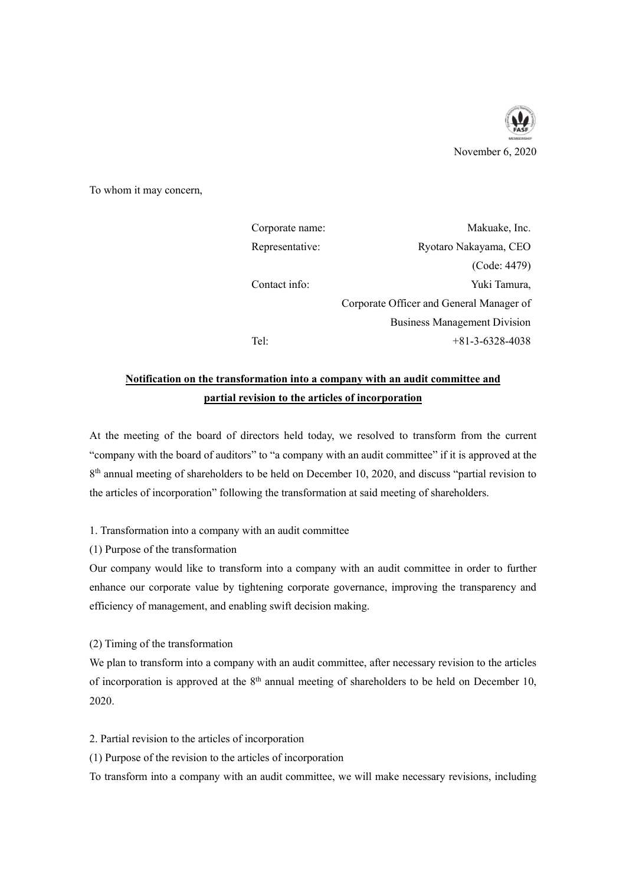

To whom it may concern,

| Corporate name: | Makuake, Inc.                            |
|-----------------|------------------------------------------|
| Representative: | Ryotaro Nakayama, CEO                    |
|                 | (Code: 4479)                             |
| Contact info:   | Yuki Tamura,                             |
|                 | Corporate Officer and General Manager of |
|                 | <b>Business Management Division</b>      |
| Tel:            | $+81-3-6328-4038$                        |

## **Notification on the transformation into a company with an audit committee and partial revision to the articles of incorporation**

At the meeting of the board of directors held today, we resolved to transform from the current "company with the board of auditors" to "a company with an audit committee" if it is approved at the 8<sup>th</sup> annual meeting of shareholders to be held on December 10, 2020, and discuss "partial revision to the articles of incorporation" following the transformation at said meeting of shareholders.

1. Transformation into a company with an audit committee

(1) Purpose of the transformation

Our company would like to transform into a company with an audit committee in order to further enhance our corporate value by tightening corporate governance, improving the transparency and efficiency of management, and enabling swift decision making.

(2) Timing of the transformation

We plan to transform into a company with an audit committee, after necessary revision to the articles of incorporation is approved at the  $8<sup>th</sup>$  annual meeting of shareholders to be held on December 10, 2020.

2. Partial revision to the articles of incorporation

(1) Purpose of the revision to the articles of incorporation

To transform into a company with an audit committee, we will make necessary revisions, including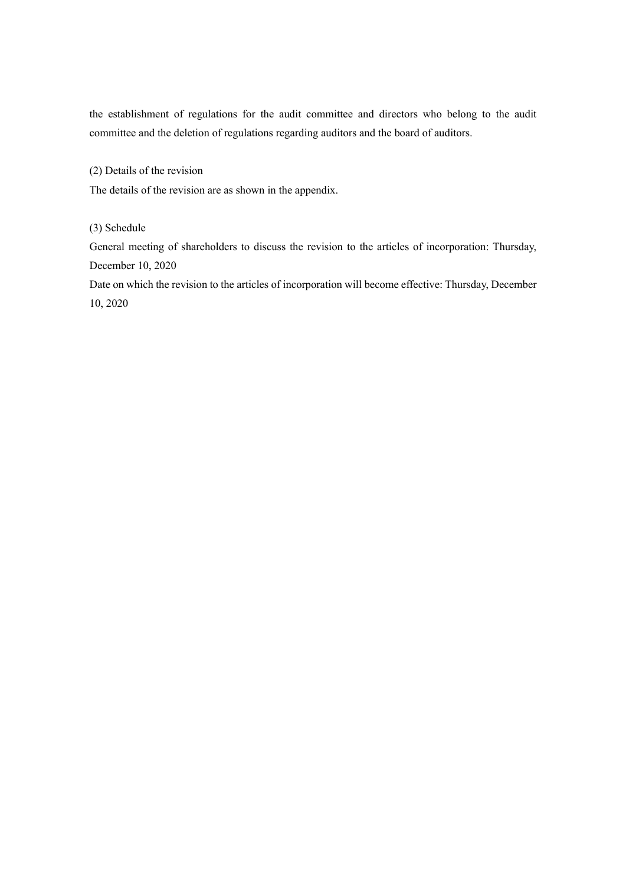the establishment of regulations for the audit committee and directors who belong to the audit committee and the deletion of regulations regarding auditors and the board of auditors.

(2) Details of the revision

The details of the revision are as shown in the appendix.

(3) Schedule

General meeting of shareholders to discuss the revision to the articles of incorporation: Thursday, December 10, 2020

Date on which the revision to the articles of incorporation will become effective: Thursday, December 10, 2020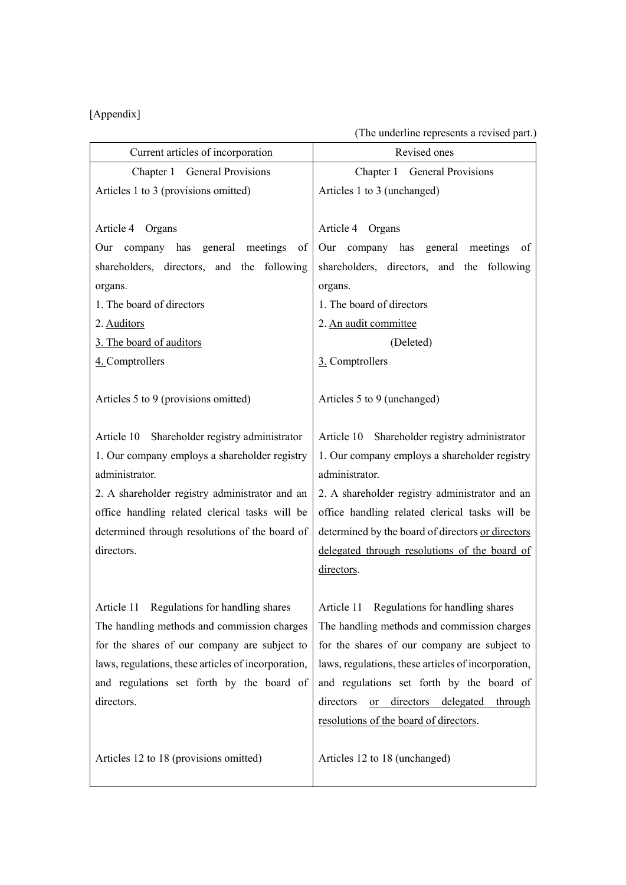## [Appendix]

| (The underline represents a revised part.) |  |  |
|--------------------------------------------|--|--|
|                                            |  |  |

| Current articles of incorporation                   | Revised ones                                        |
|-----------------------------------------------------|-----------------------------------------------------|
| Chapter 1 General Provisions                        | Chapter 1 General Provisions                        |
|                                                     |                                                     |
| Articles 1 to 3 (provisions omitted)                | Articles 1 to 3 (unchanged)                         |
| Article 4 Organs                                    | Article 4 Organs                                    |
| Our company has general meetings of                 | Our company has general meetings of                 |
| shareholders, directors, and the following          | shareholders, directors, and the following          |
| organs.                                             | organs.                                             |
| 1. The board of directors                           | 1. The board of directors                           |
| 2. Auditors                                         | 2. An audit committee                               |
| 3. The board of auditors                            | (Deleted)                                           |
| 4. Comptrollers                                     | 3. Comptrollers                                     |
|                                                     |                                                     |
| Articles 5 to 9 (provisions omitted)                | Articles 5 to 9 (unchanged)                         |
|                                                     |                                                     |
| Article 10 Shareholder registry administrator       | Article 10 Shareholder registry administrator       |
| 1. Our company employs a shareholder registry       | 1. Our company employs a shareholder registry       |
| administrator.                                      | administrator.                                      |
| 2. A shareholder registry administrator and an      | 2. A shareholder registry administrator and an      |
| office handling related clerical tasks will be      | office handling related clerical tasks will be      |
| determined through resolutions of the board of      | determined by the board of directors or directors   |
| directors.                                          | delegated through resolutions of the board of       |
|                                                     | directors.                                          |
|                                                     |                                                     |
| Article 11 Regulations for handling shares          | Article 11 Regulations for handling shares          |
| The handling methods and commission charges         | The handling methods and commission charges         |
| for the shares of our company are subject to        | for the shares of our company are subject to        |
| laws, regulations, these articles of incorporation, | laws, regulations, these articles of incorporation, |
| and regulations set forth by the board of           | and regulations set forth by the board of           |
| directors.                                          | directors<br>or directors delegated through         |
|                                                     | resolutions of the board of directors.              |
|                                                     |                                                     |
| Articles 12 to 18 (provisions omitted)              | Articles 12 to 18 (unchanged)                       |
|                                                     |                                                     |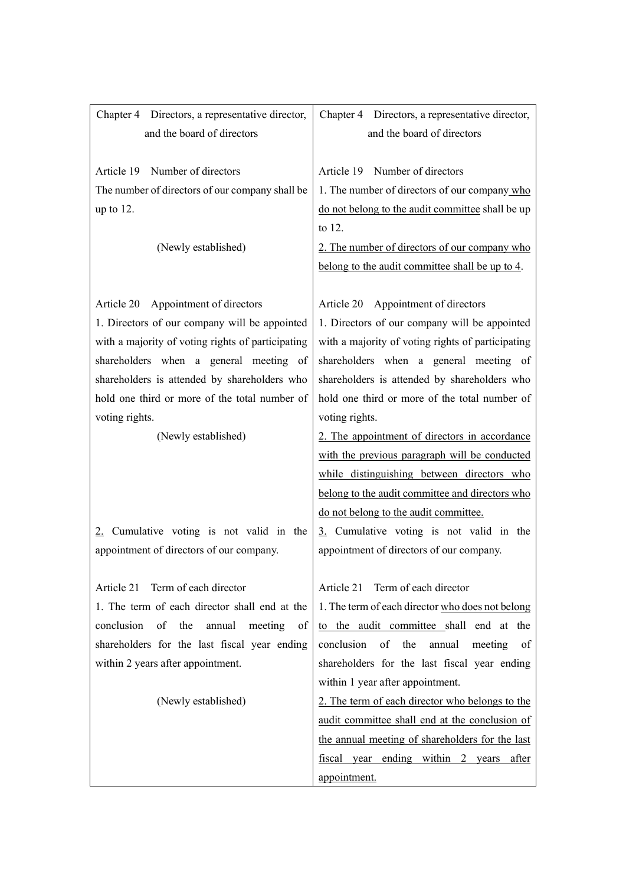| Chapter 4 Directors, a representative director,   | Chapter 4 Directors, a representative director,   |
|---------------------------------------------------|---------------------------------------------------|
| and the board of directors                        | and the board of directors                        |
|                                                   |                                                   |
| Number of directors<br>Article 19                 | Number of directors<br>Article 19                 |
| The number of directors of our company shall be   | 1. The number of directors of our company who     |
| up to $12$ .                                      | do not belong to the audit committee shall be up  |
|                                                   | to 12.                                            |
| (Newly established)                               | 2. The number of directors of our company who     |
|                                                   | belong to the audit committee shall be up to 4.   |
|                                                   |                                                   |
| Appointment of directors<br>Article 20            | Article 20 Appointment of directors               |
| 1. Directors of our company will be appointed     | 1. Directors of our company will be appointed     |
| with a majority of voting rights of participating | with a majority of voting rights of participating |
| shareholders when a general meeting of            | shareholders when a general meeting of            |
| shareholders is attended by shareholders who      | shareholders is attended by shareholders who      |
| hold one third or more of the total number of     | hold one third or more of the total number of     |
| voting rights.                                    | voting rights.                                    |
| (Newly established)                               | 2. The appointment of directors in accordance     |
|                                                   | with the previous paragraph will be conducted     |
|                                                   | while distinguishing between directors who        |
|                                                   | belong to the audit committee and directors who   |
|                                                   | do not belong to the audit committee.             |
| 2. Cumulative voting is not valid in the          | 3. Cumulative voting is not valid in the          |
| appointment of directors of our company.          | appointment of directors of our company.          |
|                                                   |                                                   |
| Article 21 Term of each director                  | Term of each director<br>Article 21               |
| 1. The term of each director shall end at the     | 1. The term of each director who does not belong  |
| conclusion of<br>the<br>annual<br>meeting<br>of   | to the audit committee shall end at the           |
| shareholders for the last fiscal year ending      | conclusion of the<br>annual<br>meeting<br>of      |
| within 2 years after appointment.                 | shareholders for the last fiscal year ending      |
|                                                   | within 1 year after appointment.                  |
| (Newly established)                               | 2. The term of each director who belongs to the   |
|                                                   | audit committee shall end at the conclusion of    |
|                                                   | the annual meeting of shareholders for the last   |
|                                                   | fiscal year ending within 2 years after           |
|                                                   | appointment.                                      |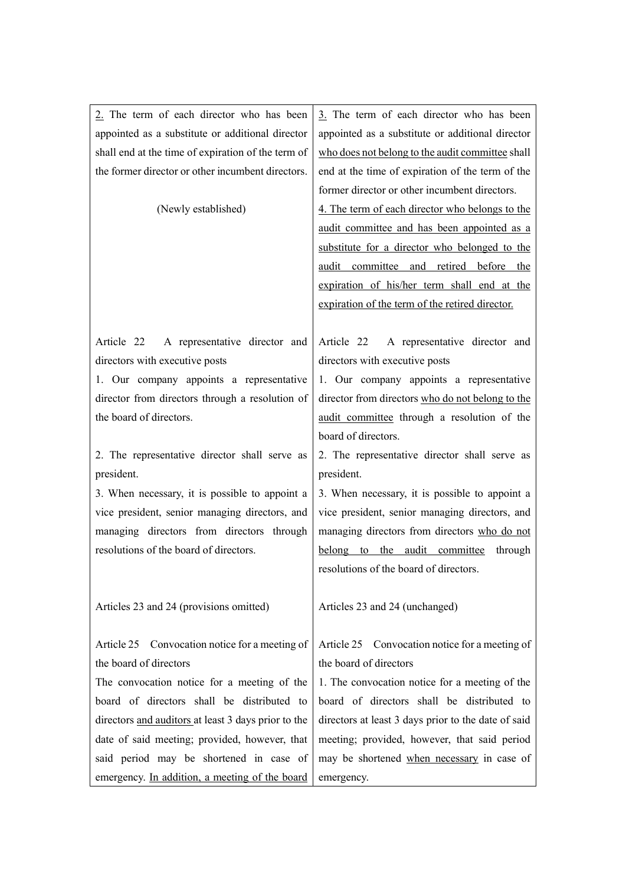| 2. The term of each director who has been           | 3. The term of each director who has been           |
|-----------------------------------------------------|-----------------------------------------------------|
| appointed as a substitute or additional director    | appointed as a substitute or additional director    |
| shall end at the time of expiration of the term of  | who does not belong to the audit committee shall    |
| the former director or other incumbent directors.   | end at the time of expiration of the term of the    |
|                                                     | former director or other incumbent directors.       |
| (Newly established)                                 | 4. The term of each director who belongs to the     |
|                                                     | audit committee and has been appointed as a         |
|                                                     | substitute for a director who belonged to the       |
|                                                     | audit committee and retired before the              |
|                                                     | expiration of his/her term shall end at the         |
|                                                     | expiration of the term of the retired director.     |
|                                                     |                                                     |
| A representative director and<br>Article 22         | A representative director and<br>Article 22         |
| directors with executive posts                      | directors with executive posts                      |
| 1. Our company appoints a representative            | 1. Our company appoints a representative            |
| director from directors through a resolution of     | director from directors who do not belong to the    |
| the board of directors.                             | audit committee through a resolution of the         |
|                                                     | board of directors.                                 |
| 2. The representative director shall serve as       | 2. The representative director shall serve as       |
| president.                                          | president.                                          |
| 3. When necessary, it is possible to appoint a      | 3. When necessary, it is possible to appoint a      |
| vice president, senior managing directors, and      | vice president, senior managing directors, and      |
| managing directors from directors through           | managing directors from directors who do not        |
| resolutions of the board of directors.              | belong to the audit committee<br>through            |
|                                                     | resolutions of the board of directors.              |
|                                                     |                                                     |
| Articles 23 and 24 (provisions omitted)             | Articles 23 and 24 (unchanged)                      |
|                                                     |                                                     |
| Article 25 Convocation notice for a meeting of      | Article 25 Convocation notice for a meeting of      |
| the board of directors                              | the board of directors                              |
| The convocation notice for a meeting of the         | 1. The convocation notice for a meeting of the      |
| board of directors shall be distributed to          | board of directors shall be distributed to          |
| directors and auditors at least 3 days prior to the | directors at least 3 days prior to the date of said |
| date of said meeting; provided, however, that       | meeting; provided, however, that said period        |
| said period may be shortened in case of             | may be shortened when necessary in case of          |
| emergency. In addition, a meeting of the board      | emergency.                                          |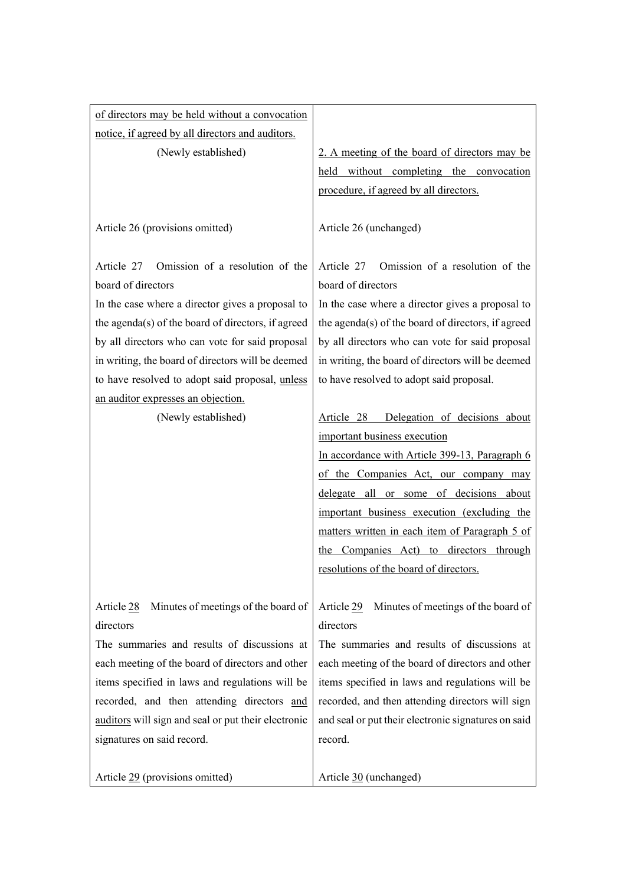| of directors may be held without a convocation      |                                                     |
|-----------------------------------------------------|-----------------------------------------------------|
| notice, if agreed by all directors and auditors.    |                                                     |
| (Newly established)                                 | 2. A meeting of the board of directors may be       |
|                                                     | held without completing the convocation             |
|                                                     | procedure, if agreed by all directors.              |
|                                                     |                                                     |
| Article 26 (provisions omitted)                     | Article 26 (unchanged)                              |
| Article 27 Omission of a resolution of the          | Omission of a resolution of the<br>Article 27       |
| board of directors                                  | board of directors                                  |
| In the case where a director gives a proposal to    | In the case where a director gives a proposal to    |
| the agenda(s) of the board of directors, if agreed  | the agenda(s) of the board of directors, if agreed  |
| by all directors who can vote for said proposal     | by all directors who can vote for said proposal     |
| in writing, the board of directors will be deemed   | in writing, the board of directors will be deemed   |
| to have resolved to adopt said proposal, unless     | to have resolved to adopt said proposal.            |
| an auditor expresses an objection.                  |                                                     |
| (Newly established)                                 | Article 28 Delegation of decisions about            |
|                                                     | important business execution                        |
|                                                     | In accordance with Article 399-13, Paragraph 6      |
|                                                     | of the Companies Act, our company may               |
|                                                     | delegate all or some of decisions about             |
|                                                     | important business execution (excluding the         |
|                                                     | matters written in each item of Paragraph 5 of      |
|                                                     | the Companies Act) to directors through             |
|                                                     | resolutions of the board of directors.              |
| Article 28<br>Minutes of meetings of the board of   | Article 29<br>Minutes of meetings of the board of   |
| directors                                           | directors                                           |
| The summaries and results of discussions at         | The summaries and results of discussions at         |
| each meeting of the board of directors and other    | each meeting of the board of directors and other    |
| items specified in laws and regulations will be     | items specified in laws and regulations will be     |
| recorded, and then attending directors and          | recorded, and then attending directors will sign    |
| auditors will sign and seal or put their electronic | and seal or put their electronic signatures on said |
| signatures on said record.                          | record.                                             |
| Article 29 (provisions omitted)                     | Article 30 (unchanged)                              |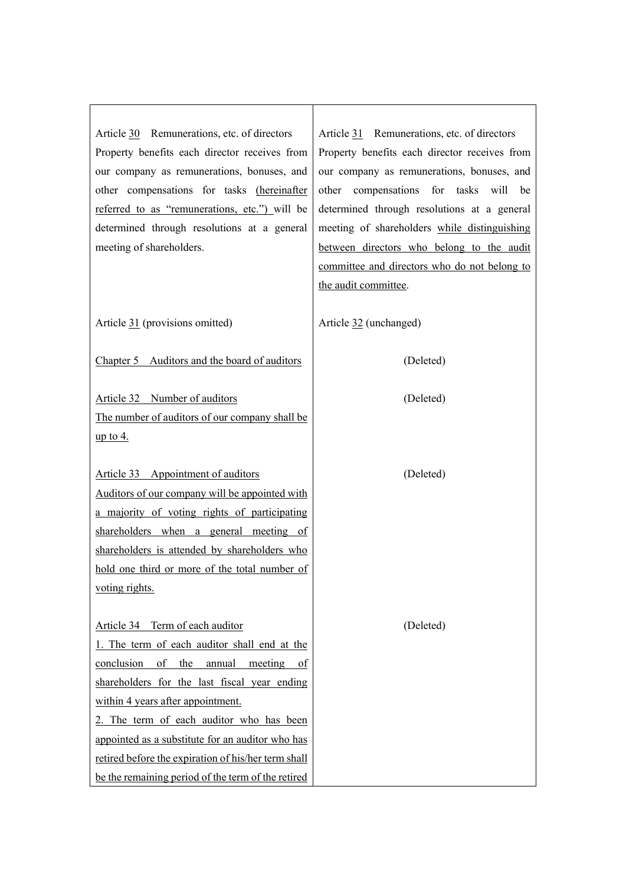| Article 30 Remunerations, etc. of directors         | Article 31 Remunerations, etc. of directors   |
|-----------------------------------------------------|-----------------------------------------------|
| Property benefits each director receives from       | Property benefits each director receives from |
| our company as remunerations, bonuses, and          | our company as remunerations, bonuses, and    |
| other compensations for tasks (hereinafter          | compensations for tasks will<br>other<br>be   |
| referred to as "remunerations, etc.") will be       | determined through resolutions at a general   |
| determined through resolutions at a general         | meeting of shareholders while distinguishing  |
| meeting of shareholders.                            | between directors who belong to the audit     |
|                                                     | committee and directors who do not belong to  |
|                                                     | the audit committee.                          |
| Article 31 (provisions omitted)                     | Article 32 (unchanged)                        |
|                                                     |                                               |
| Chapter 5 Auditors and the board of auditors        | (Deleted)                                     |
|                                                     |                                               |
| Article 32 Number of auditors                       | (Deleted)                                     |
| The number of auditors of our company shall be      |                                               |
| <u>up to 4.</u>                                     |                                               |
|                                                     |                                               |
| Article 33 Appointment of auditors                  | (Deleted)                                     |
| Auditors of our company will be appointed with      |                                               |
| a majority of voting rights of participating        |                                               |
| shareholders when a general meeting of              |                                               |
| shareholders is attended by shareholders who        |                                               |
| hold one third or more of the total number of       |                                               |
| voting rights.                                      |                                               |
|                                                     |                                               |
| Article 34 Term of each auditor                     | (Deleted)                                     |
| 1. The term of each auditor shall end at the        |                                               |
| conclusion<br>of<br>the<br>annual<br>meeting of     |                                               |
| shareholders for the last fiscal year ending        |                                               |
| within 4 years after appointment.                   |                                               |
| 2. The term of each auditor who has been            |                                               |
| appointed as a substitute for an auditor who has    |                                               |
| retired before the expiration of his/her term shall |                                               |
| be the remaining period of the term of the retired  |                                               |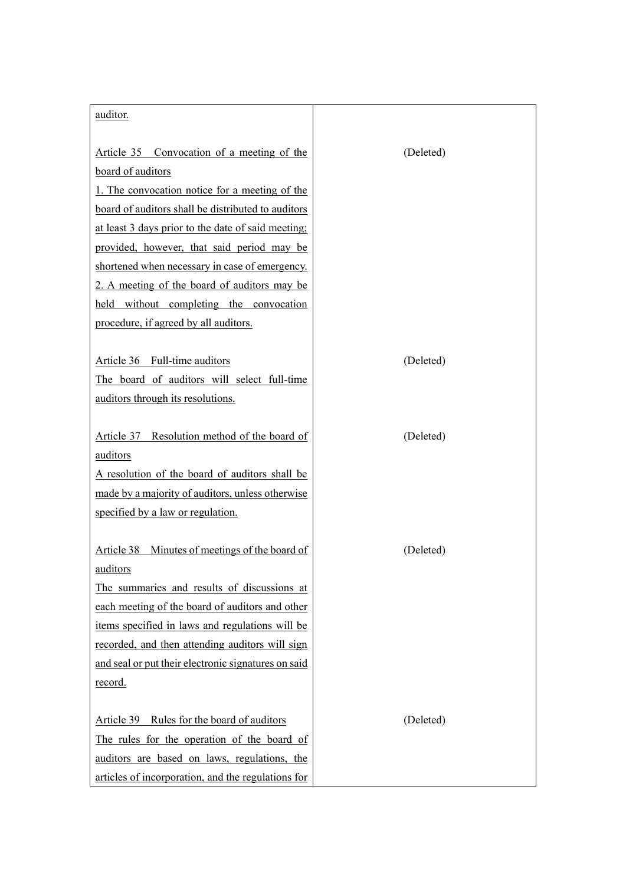| auditor.                                            |           |
|-----------------------------------------------------|-----------|
|                                                     |           |
| Article 35 Convocation of a meeting of the          | (Deleted) |
| board of auditors                                   |           |
| 1. The convocation notice for a meeting of the      |           |
| board of auditors shall be distributed to auditors  |           |
| at least 3 days prior to the date of said meeting;  |           |
| provided, however, that said period may be          |           |
| shortened when necessary in case of emergency.      |           |
| 2. A meeting of the board of auditors may be        |           |
| held without completing the convocation             |           |
| procedure, if agreed by all auditors.               |           |
|                                                     |           |
| Article 36 Full-time auditors                       | (Deleted) |
| The board of auditors will select full-time         |           |
| auditors through its resolutions.                   |           |
|                                                     |           |
| Article 37 Resolution method of the board of        | (Deleted) |
| auditors                                            |           |
| A resolution of the board of auditors shall be      |           |
| made by a majority of auditors, unless otherwise    |           |
| specified by a law or regulation.                   |           |
|                                                     |           |
| Article 38 Minutes of meetings of the board of      | (Deleted) |
| auditors                                            |           |
| The summaries and results of discussions at         |           |
| each meeting of the board of auditors and other     |           |
| items specified in laws and regulations will be     |           |
| recorded, and then attending auditors will sign     |           |
| and seal or put their electronic signatures on said |           |
| record.                                             |           |
|                                                     |           |
| Article 39 Rules for the board of auditors          | (Deleted) |
| The rules for the operation of the board of         |           |
| auditors are based on laws, regulations, the        |           |
| articles of incorporation, and the regulations for  |           |
|                                                     |           |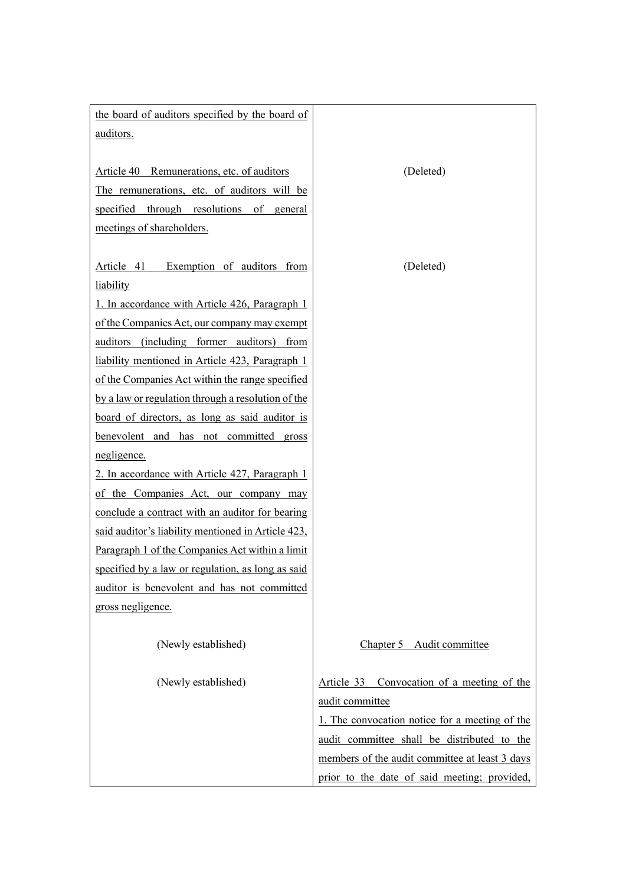| the board of auditors specified by the board of    |                                                |
|----------------------------------------------------|------------------------------------------------|
| auditors.                                          |                                                |
|                                                    |                                                |
| Article 40 Remunerations, etc. of auditors         | (Deleted)                                      |
| The remunerations, etc. of auditors will be        |                                                |
| specified through resolutions of general           |                                                |
| meetings of shareholders.                          |                                                |
|                                                    |                                                |
| Exemption of auditors from<br>Article 41           | (Deleted)                                      |
| liability                                          |                                                |
| 1. In accordance with Article 426, Paragraph 1     |                                                |
| of the Companies Act, our company may exempt       |                                                |
| auditors (including former auditors) from          |                                                |
| liability mentioned in Article 423, Paragraph 1    |                                                |
| of the Companies Act within the range specified    |                                                |
| by a law or regulation through a resolution of the |                                                |
| board of directors, as long as said auditor is     |                                                |
| benevolent and has not committed gross             |                                                |
| negligence.                                        |                                                |
| 2. In accordance with Article 427, Paragraph 1     |                                                |
| of the Companies Act, our company may              |                                                |
| conclude a contract with an auditor for bearing    |                                                |
| said auditor's liability mentioned in Article 423, |                                                |
| Paragraph 1 of the Companies Act within a limit    |                                                |
| specified by a law or regulation, as long as said  |                                                |
| auditor is benevolent and has not committed        |                                                |
| gross negligence.                                  |                                                |
|                                                    |                                                |
| (Newly established)                                | Chapter 5 Audit committee                      |
|                                                    |                                                |
| (Newly established)                                | Article 33 Convocation of a meeting of the     |
|                                                    | audit committee                                |
|                                                    | 1. The convocation notice for a meeting of the |
|                                                    | audit committee shall be distributed to the    |
|                                                    | members of the audit committee at least 3 days |
|                                                    | prior to the date of said meeting; provided,   |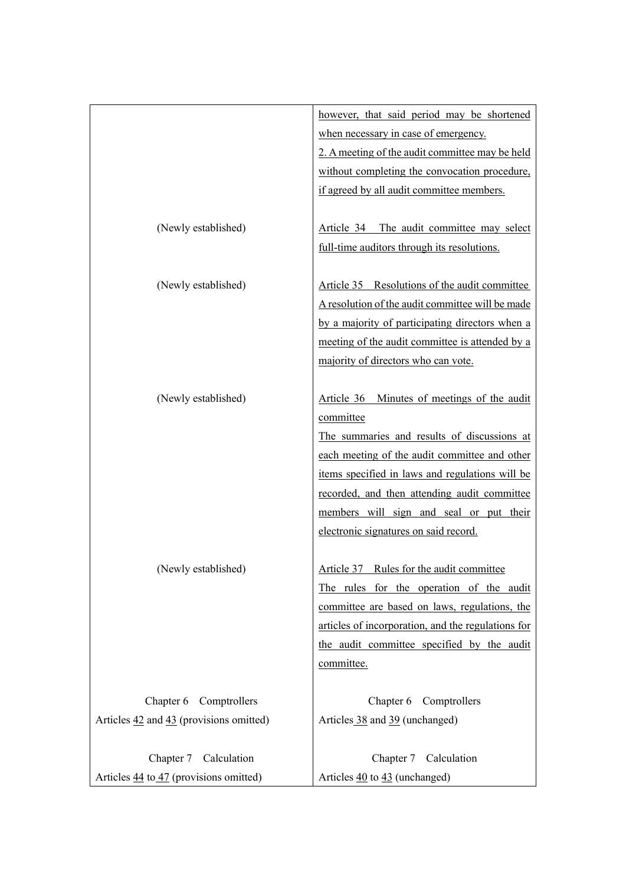|                                                                   | however, that said period may be shortened         |
|-------------------------------------------------------------------|----------------------------------------------------|
|                                                                   | when necessary in case of emergency.               |
|                                                                   | 2. A meeting of the audit committee may be held    |
|                                                                   | without completing the convocation procedure,      |
|                                                                   | if agreed by all audit committee members.          |
|                                                                   |                                                    |
| (Newly established)                                               | Article 34 The audit committee may select          |
|                                                                   | full-time auditors through its resolutions.        |
|                                                                   |                                                    |
| (Newly established)                                               | Article 35 Resolutions of the audit committee      |
|                                                                   | A resolution of the audit committee will be made   |
|                                                                   | by a majority of participating directors when a    |
|                                                                   | meeting of the audit committee is attended by a    |
|                                                                   | majority of directors who can vote.                |
|                                                                   |                                                    |
| (Newly established)                                               | Article 36 Minutes of meetings of the audit        |
|                                                                   | committee                                          |
|                                                                   | The summaries and results of discussions at        |
|                                                                   | each meeting of the audit committee and other      |
|                                                                   | items specified in laws and regulations will be    |
|                                                                   | recorded, and then attending audit committee       |
|                                                                   | members will sign and seal or put their            |
|                                                                   | electronic signatures on said record.              |
|                                                                   |                                                    |
| (Newly established)                                               | Article 37 Rules for the audit committee           |
|                                                                   | The rules for the operation of the audit           |
|                                                                   | committee are based on laws, regulations, the      |
|                                                                   | articles of incorporation, and the regulations for |
|                                                                   | the audit committee specified by the audit         |
|                                                                   | committee.                                         |
|                                                                   |                                                    |
| Comptrollers<br>Chapter 6                                         | Chapter 6 Comptrollers                             |
| Articles $\frac{42}{12}$ and $\frac{43}{12}$ (provisions omitted) | Articles 38 and 39 (unchanged)                     |
|                                                                   |                                                    |
| Chapter 7 Calculation                                             | Chapter 7 Calculation                              |
| Articles 44 to 47 (provisions omitted)                            | Articles 40 to 43 (unchanged)                      |